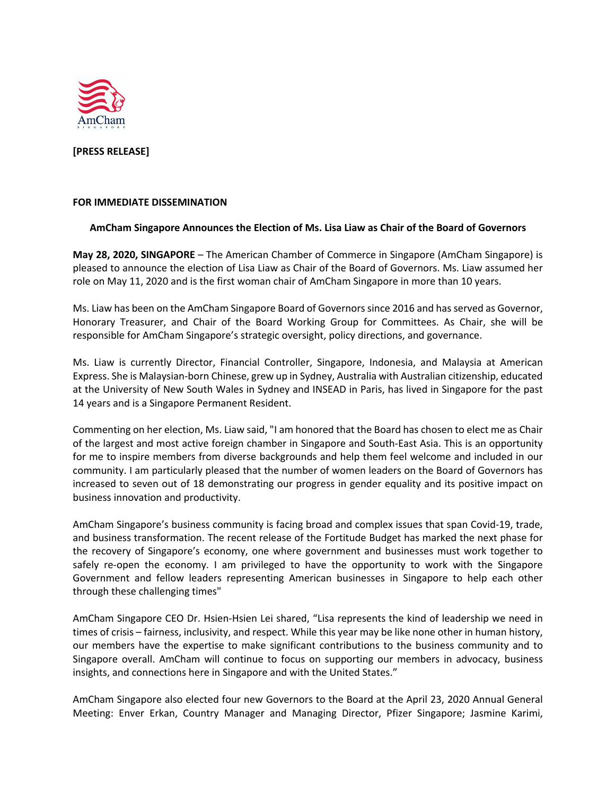

**[PRESS RELEASE]**

#### **FOR IMMEDIATE DISSEMINATION**

#### **AmCham Singapore Announces the Election of Ms. Lisa Liaw as Chair of the Board of Governors**

**May 28, 2020, SINGAPORE** – The American Chamber of Commerce in Singapore (AmCham Singapore) is pleased to announce the election of Lisa Liaw as Chair of the Board of Governors. Ms. Liaw assumed her role on May 11, 2020 and is the first woman chair of AmCham Singapore in more than 10 years.

Ms. Liaw has been on the AmCham Singapore Board of Governors since 2016 and has served as Governor, Honorary Treasurer, and Chair of the Board Working Group for Committees. As Chair, she will be responsible for AmCham Singapore's strategic oversight, policy directions, and governance.

Ms. Liaw is currently Director, Financial Controller, Singapore, Indonesia, and Malaysia at American Express. She is Malaysian-born Chinese, grew up in Sydney, Australia with Australian citizenship, educated at the University of New South Wales in Sydney and INSEAD in Paris, has lived in Singapore for the past 14 years and is a Singapore Permanent Resident.

Commenting on her election, Ms. Liaw said, "I am honored that the Board has chosen to elect me as Chair of the largest and most active foreign chamber in Singapore and South-East Asia. This is an opportunity for me to inspire members from diverse backgrounds and help them feel welcome and included in our community. I am particularly pleased that the number of women leaders on the Board of Governors has increased to seven out of 18 demonstrating our progress in gender equality and its positive impact on business innovation and productivity.

AmCham Singapore's business community is facing broad and complex issues that span Covid-19, trade, and business transformation. The recent release of the Fortitude Budget has marked the next phase for the recovery of Singapore's economy, one where government and businesses must work together to safely re-open the economy. I am privileged to have the opportunity to work with the Singapore Government and fellow leaders representing American businesses in Singapore to help each other through these challenging times"

AmCham Singapore CEO Dr. Hsien-Hsien Lei shared, "Lisa represents the kind of leadership we need in times of crisis – fairness, inclusivity, and respect. While this year may be like none other in human history, our members have the expertise to make significant contributions to the business community and to Singapore overall. AmCham will continue to focus on supporting our members in advocacy, business insights, and connections here in Singapore and with the United States."

AmCham Singapore also elected four new Governors to the Board at the April 23, 2020 Annual General Meeting: Enver Erkan, Country Manager and Managing Director, Pfizer Singapore; Jasmine Karimi,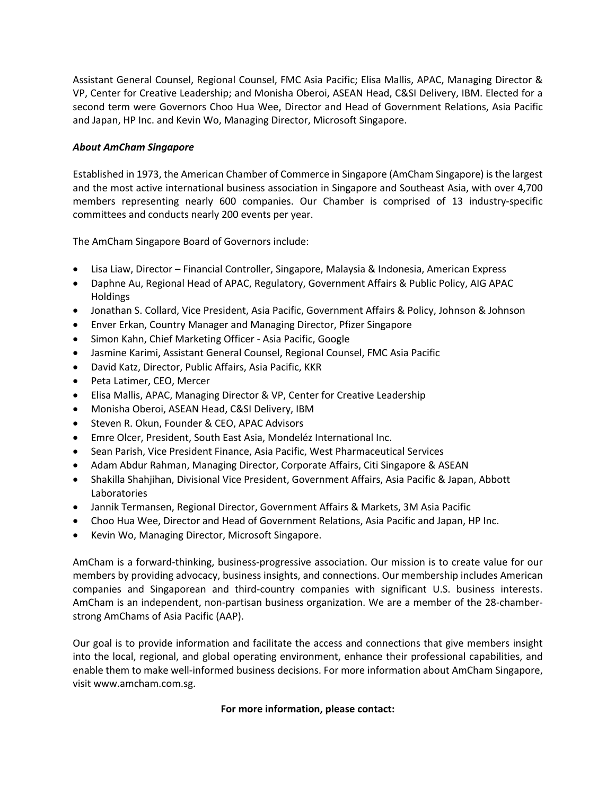Assistant General Counsel, Regional Counsel, FMC Asia Pacific; Elisa Mallis, APAC, Managing Director & VP, Center for Creative Leadership; and Monisha Oberoi, ASEAN Head, C&SI Delivery, IBM. Elected for a second term were Governors Choo Hua Wee, Director and Head of Government Relations, Asia Pacific and Japan, HP Inc. and Kevin Wo, Managing Director, Microsoft Singapore.

# *About AmCham Singapore*

Established in 1973, the American Chamber of Commerce in Singapore (AmCham Singapore) is the largest and the most active international business association in Singapore and Southeast Asia, with over 4,700 members representing nearly 600 companies. Our Chamber is comprised of 13 industry-specific committees and conducts nearly 200 events per year.

The AmCham Singapore Board of Governors include:

- Lisa Liaw, Director Financial Controller, Singapore, Malaysia & Indonesia, American Express
- Daphne Au, Regional Head of APAC, Regulatory, Government Affairs & Public Policy, AIG APAC Holdings
- Jonathan S. Collard, Vice President, Asia Pacific, Government Affairs & Policy, Johnson & Johnson
- Enver Erkan, Country Manager and Managing Director, Pfizer Singapore
- Simon Kahn, Chief Marketing Officer Asia Pacific, Google
- Jasmine Karimi, Assistant General Counsel, Regional Counsel, FMC Asia Pacific
- David Katz, Director, Public Affairs, Asia Pacific, KKR
- Peta Latimer, CEO, Mercer
- Elisa Mallis, APAC, Managing Director & VP, Center for Creative Leadership
- Monisha Oberoi, ASEAN Head, C&SI Delivery, IBM
- Steven R. Okun, Founder & CEO, APAC Advisors
- Emre Olcer, President, South East Asia, Mondeléz International Inc.
- Sean Parish, Vice President Finance, Asia Pacific, West Pharmaceutical Services
- Adam Abdur Rahman, Managing Director, Corporate Affairs, Citi Singapore & ASEAN
- Shakilla Shahjihan, Divisional Vice President, Government Affairs, Asia Pacific & Japan, Abbott Laboratories
- Jannik Termansen, Regional Director, Government Affairs & Markets, 3M Asia Pacific
- Choo Hua Wee, Director and Head of Government Relations, Asia Pacific and Japan, HP Inc.
- Kevin Wo, Managing Director, Microsoft Singapore.

AmCham is a forward-thinking, business-progressive association. Our mission is to create value for our members by providing advocacy, business insights, and connections. Our membership includes American companies and Singaporean and third-country companies with significant U.S. business interests. AmCham is an independent, non-partisan business organization. We are a member of the 28-chamberstrong AmChams of Asia Pacific (AAP).

Our goal is to provide information and facilitate the access and connections that give members insight into the local, regional, and global operating environment, enhance their professional capabilities, and enable them to make well-informed business decisions. For more information about AmCham Singapore, visit www.amcham.com.sg.

### **For more information, please contact:**